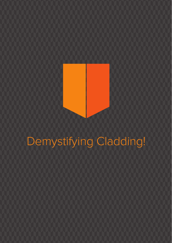# Demystifying Cladding!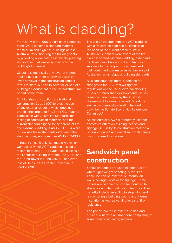# What is cladding?

From early in the 1990's, aluminium composite panel (ACP) became a standard material for medium and high-rise buildings across Australia, revolutionising the building sector by providing a low-cost, aesthetically pleasing skin or layer that was easy to attach to a building's framework.

Cladding is technically any layer of material applied over another to provide a skin or layer, however in the construction context refers to material used to cover all or part of a building's exterior that in itself is not structural or part of the frame.

For high rise construction, the National Construction Code (NCC) forbids the use of any external cladding which does not prohibit the spread of fire. The NCC requires compliance with Australian Standards for testing of construction materials, and the current standard aligned to the spread of fire and external cladding is AS 1530.1−1994 while for low rise these standards differ and other standards may apply such as AS 1530.3-1999.

In recent times, highly-flammable Aluminium Composite Panel (ACP) cladding has led to major fire damage – as evidenced in cases of the Lacrosse building in Melbourne (2014) and the Torch Tower in Dubai (2017) – and even loss of life as in the Grenfell Tower fire in London (2017).

The use of cheaper imported ACP cladding with a PE core on high-rise buildings is at the heart of the current problem. While Australian suppliers were aware of the fire risks associated with this cladding, a demand by developers, builders, sub-contractors or suppliers for a cheaper product ensured their continued use, made easier because of Australia's lax, ambiguous building standards.

As a consequence, there is demand for changes to the NCC that will tighten regulations on the use of external cladding in new or refurbished developments, issues currently under review by the Australian Government following a recent Report into aluminium composite cladding handed down by the Senate Economics References Committee<sup>1</sup>.

Across Australia, ACP is frequently used for decorative effect on building facades and signage. ACP is by its construction method a 'sandwich panel', and not all sandwich panels are considered hazardous.

### **Sandwich panel construction**

Sandwich panels are used in construction where light-weight sheeting is required. Their use can be external or internal on walls, ceilings, roofs or for signage. Some panels are flexible and can be moulded to shape for architectural design features. Their benefits include an ability to stop wind and rain entering a building, sound and thermal insulation as well as varying levels of fire resistance.

The panels comprise external inside and outside skins with an inner core comprising of some form of insulating material.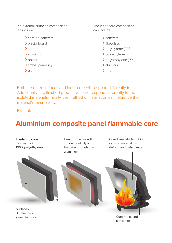The external surfaces composition can include:

- › aerated concrete
- > plasterboard
- › steel
- › aluminium
- > board
- > timber panelling
- $\rightarrow$  etc.

The inner core composition can include:

- › concrete
- > fibreglass
- › polystyrene (EPS)
- › polyethylene (PE)
- › polypropylene (PPL)
- › aluminium
- $\rightarrow$  etc.

Both the outer surfaces and inner core will respond differently to fire. Additionally, the finished product will also respond differently to the isolated materials. Finally, the method of installation can influence the material's flammability.

Example:

### **Aluminium composite panel flammable core**

#### **Insulating core**

2-5mm thick, 100% polyethylene



**Surfaces** 0.5mm thick aluminium skin

Heat from a fire will conduct quickly to the core through thin aluminium

Core loses ability to bind, causing outer skins to deform and delaminate





Core melts and can ignite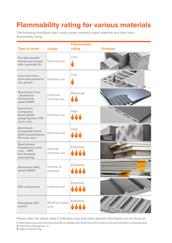## **Flammability rating for various materials**

The following simplified chart covers some sandwich panel materials and their basic flammability rating.

|                                                                                    |                           | <b>Flammability</b>     |                                                |
|------------------------------------------------------------------------------------|---------------------------|-------------------------|------------------------------------------------|
| <b>Type of panel</b>                                                               | <b>Usage</b>              | rating                  | <b>Example</b>                                 |
| Pre-fab aerated<br>blocks and panels<br>with concrete fill                         | External use              | l ow                    |                                                |
| Concrete Core -<br>concrete poured in<br>situ panels                               | External use              | Low                     |                                                |
| <b>Aluminium Core</b><br>- aluminium<br>honeycomb<br>panel (AHP)                   | External/<br>internal use | Moderate                |                                                |
| <b>Aluminium</b><br>Composite<br>Panel (ACP)<br>polypropylene PPL<br>inner core    | External use              | High<br>444             | <b>College College College College College</b> |
| Aluminium<br><b>Composite Panel</b><br>(ACP) polyethylene<br>PE inner core         | External use              | High<br>444             | SPILL.                                         |
| Steel/timber<br>Polystyrene inner<br>$core - EPS$<br>Pre-finished/<br>interlocking | Internal/<br>external use | Extreme<br>             |                                                |
| <b>Aluminium Wall</b><br>panels (EPS)                                              | Internal or<br>External   | Extreme<br>             |                                                |
| <b>EPS roof panels</b>                                                             | External use              | Extreme<br><u>. 444</u> |                                                |
| <b>Fibreglass infill</b><br>panels                                                 | Roofing sheets<br>only    | Extreme                 |                                                |

Please note: the above table is indicative only, and more detailed information can be found at:

**1.** http://www.csiro.au/en/Do-business/Services/Materials-infrastructure/Fire-pass-scheme/Certificates-of-Assesement;

**2.** http://www.abcb.gov.au; or

**3.** https://certmark.org/.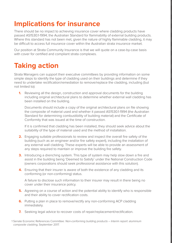## **Implications for insurance**

There should be no impact to achieving insurance cover where cladding products have passed AS1530.1-1994; the Australian Standard for flammability of external building products. Where this standard has not been met, given the nature of highly flammable cladding, it may be difficult to access full insurance cover within the Australian strata insurance market.

Our position at Strata Community Insurance is that we will quote on a case-by-case basis with cover for certified and compliant strata complexes.

## **Taking action**

Strata Managers can support their executive committees by providing information on some simple steps to identify the type of cladding used on their buildings and determine if they need to undertake rectification/remediation to remove/replace the cladding, including (but not limited to):

**1.** Reviewing all the design, construction and approval documents for the building including original architectural plans to determine whether external wall cladding has been installed on the building.

Documents should include a copy of the original architectural plans on file showing the composite of material used and whether it passed AS1530.1-1994 (the Australian Standard for determining combustibility of building material) and the Certificate of Conformity that was issued at the time of construction.

If it is confirmed that cladding has been installed, they should seek advice about the suitability of the type of material used and the method of installation.

- **2.** Engaging suitable professionals to review and inspect the overall fire safety of the building (such as an engineer and/or fire safety expert), including the installation of any external wall cladding. These experts will be able to provide an assessment of any steps required to maintain or improve the building fire safety.
- **3.** Introducing a drenching system. This type of system may help slow down a fire and assist in the building being 'Deemed to Satisfy' under the National Construction Code (owners corporations should seek professional assistance with this solution).
- **4.** Ensuring that their insurer is aware of both the existence of any cladding and its conforming (or non-conforming) status.

A failure to disclose such information to their insurer may result in there being no cover under their insurance policy.

- **5.** Agreeing on a course of action and the potential ability to identify who is responsible and their ability to cover rectification costs.
- **6.** Putting a plan in place to remove/rectify any non-conforming ACP cladding immediately.
- **7.** Seeking legal advice to recover costs of repair/replacement/rectification.

1 Senate Economic References Committee: Non-conforming building products – Interim report: aluminium composite cladding, September 2017.